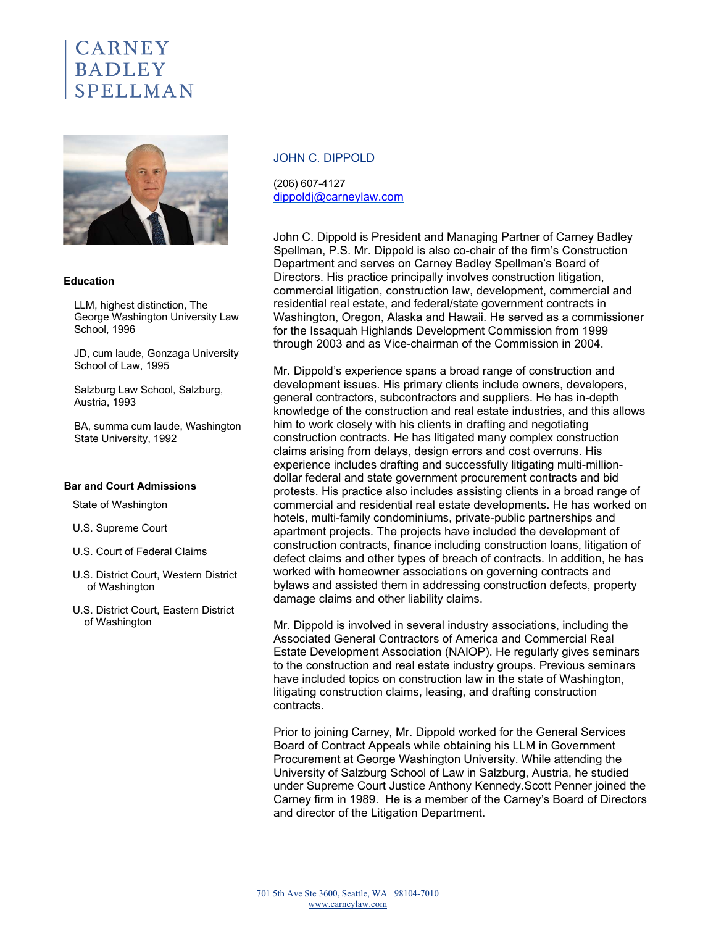# $\mathop{\bf CARNEN}\nolimits$ **BADLEY**



### **Education**

LLM, highest distinction, The George Washington University Law School, 1996

JD, cum laude, Gonzaga University School of Law, 1995

Salzburg Law School, Salzburg, Austria, 1993

BA, summa cum laude, Washington State University, 1992

#### **Bar and Court Admissions**

State of Washington

- U.S. Supreme Court
- U.S. Court of Federal Claims
- U.S. District Court, Western District of Washington
- U.S. District Court, Eastern District of Washington

### JOHN C. DIPPOLD

(206) 607-4127 dippoldj@carneylaw.com

John C. Dippold is President and Managing Partner of Carney Badley Spellman, P.S. Mr. Dippold is also co-chair of the firm's Construction Department and serves on Carney Badley Spellman's Board of Directors. His practice principally involves construction litigation, commercial litigation, construction law, development, commercial and residential real estate, and federal/state government contracts in Washington, Oregon, Alaska and Hawaii. He served as a commissioner for the Issaquah Highlands Development Commission from 1999 through 2003 and as Vice-chairman of the Commission in 2004.

Mr. Dippold's experience spans a broad range of construction and development issues. His primary clients include owners, developers, general contractors, subcontractors and suppliers. He has in-depth knowledge of the construction and real estate industries, and this allows him to work closely with his clients in drafting and negotiating construction contracts. He has litigated many complex construction claims arising from delays, design errors and cost overruns. His experience includes drafting and successfully litigating multi-milliondollar federal and state government procurement contracts and bid protests. His practice also includes assisting clients in a broad range of commercial and residential real estate developments. He has worked on hotels, multi-family condominiums, private-public partnerships and apartment projects. The projects have included the development of construction contracts, finance including construction loans, litigation of defect claims and other types of breach of contracts. In addition, he has worked with homeowner associations on governing contracts and bylaws and assisted them in addressing construction defects, property damage claims and other liability claims.

Mr. Dippold is involved in several industry associations, including the Associated General Contractors of America and Commercial Real Estate Development Association (NAIOP). He regularly gives seminars to the construction and real estate industry groups. Previous seminars have included topics on construction law in the state of Washington, litigating construction claims, leasing, and drafting construction contracts.

Prior to joining Carney, Mr. Dippold worked for the General Services Board of Contract Appeals while obtaining his LLM in Government Procurement at George Washington University. While attending the University of Salzburg School of Law in Salzburg, Austria, he studied under Supreme Court Justice Anthony Kennedy.Scott Penner joined the Carney firm in 1989. He is a member of the Carney's Board of Directors and director of the Litigation Department.